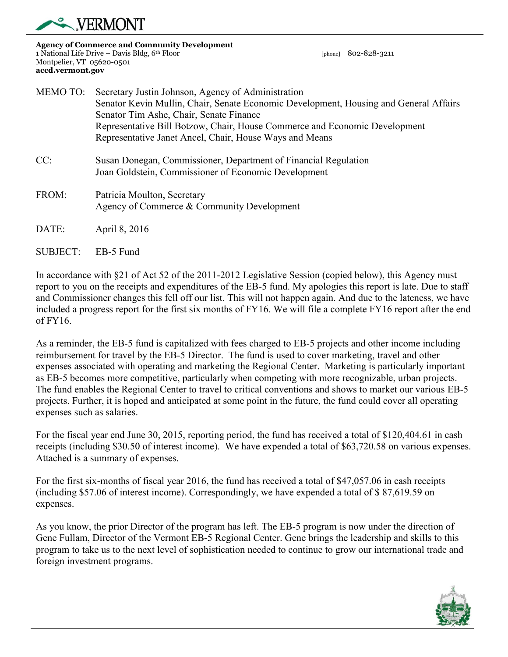

SUBJECT: EB-5 Fund

**Agency of Commerce and Community Development**  1 National Life Drive – Davis Bldg, 6th Floor [phone] 802-828-3211 Montpelier, VT 05620-0501 **accd.vermont.gov** 

| MEMO TO: | Secretary Justin Johnson, Agency of Administration<br>Senator Kevin Mullin, Chair, Senate Economic Development, Housing and General Affairs<br>Senator Tim Ashe, Chair, Senate Finance<br>Representative Bill Botzow, Chair, House Commerce and Economic Development<br>Representative Janet Ancel, Chair, House Ways and Means |
|----------|---------------------------------------------------------------------------------------------------------------------------------------------------------------------------------------------------------------------------------------------------------------------------------------------------------------------------------|
| CC:      | Susan Donegan, Commissioner, Department of Financial Regulation<br>Joan Goldstein, Commissioner of Economic Development                                                                                                                                                                                                         |
| FROM:    | Patricia Moulton, Secretary<br>Agency of Commerce & Community Development                                                                                                                                                                                                                                                       |
| DATE:    | April 8, 2016                                                                                                                                                                                                                                                                                                                   |

In accordance with §21 of Act 52 of the 2011-2012 Legislative Session (copied below), this Agency must report to you on the receipts and expenditures of the EB-5 fund. My apologies this report is late. Due to staff and Commissioner changes this fell off our list. This will not happen again. And due to the lateness, we have included a progress report for the first six months of FY16. We will file a complete FY16 report after the end of FY16.

As a reminder, the EB-5 fund is capitalized with fees charged to EB-5 projects and other income including reimbursement for travel by the EB-5 Director. The fund is used to cover marketing, travel and other expenses associated with operating and marketing the Regional Center. Marketing is particularly important as EB-5 becomes more competitive, particularly when competing with more recognizable, urban projects. The fund enables the Regional Center to travel to critical conventions and shows to market our various EB-5 projects. Further, it is hoped and anticipated at some point in the future, the fund could cover all operating expenses such as salaries.

For the fiscal year end June 30, 2015, reporting period, the fund has received a total of \$120,404.61 in cash receipts (including \$30.50 of interest income). We have expended a total of \$63,720.58 on various expenses. Attached is a summary of expenses.

For the first six-months of fiscal year 2016, the fund has received a total of \$47,057.06 in cash receipts (including \$57.06 of interest income). Correspondingly, we have expended a total of \$ 87,619.59 on expenses.

As you know, the prior Director of the program has left. The EB-5 program is now under the direction of Gene Fullam, Director of the Vermont EB-5 Regional Center. Gene brings the leadership and skills to this program to take us to the next level of sophistication needed to continue to grow our international trade and foreign investment programs.

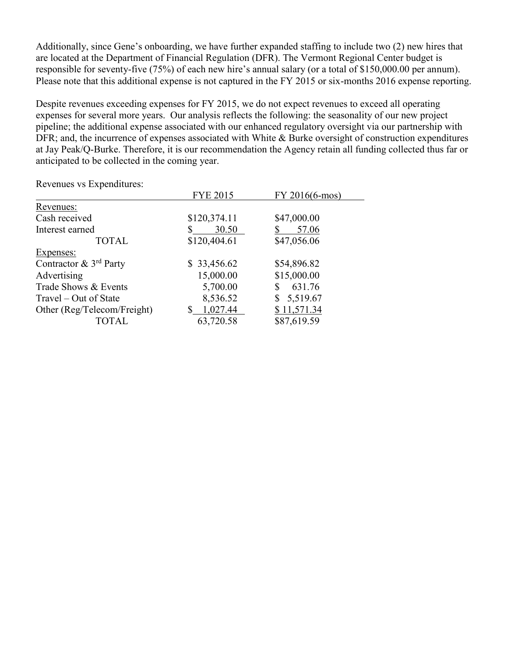Additionally, since Gene's onboarding, we have further expanded staffing to include two (2) new hires that are located at the Department of Financial Regulation (DFR). The Vermont Regional Center budget is responsible for seventy-five (75%) of each new hire's annual salary (or a total of \$150,000.00 per annum). Please note that this additional expense is not captured in the FY 2015 or six-months 2016 expense reporting.

Despite revenues exceeding expenses for FY 2015, we do not expect revenues to exceed all operating expenses for several more years. Our analysis reflects the following: the seasonality of our new project pipeline; the additional expense associated with our enhanced regulatory oversight via our partnership with DFR; and, the incurrence of expenses associated with White & Burke oversight of construction expenditures at Jay Peak/Q-Burke. Therefore, it is our recommendation the Agency retain all funding collected thus far or anticipated to be collected in the coming year.

Revenues vs Expenditures:

|                                       | <b>FYE 2015</b> | FY 2016(6-mos) |
|---------------------------------------|-----------------|----------------|
| Revenues:                             |                 |                |
| Cash received                         | \$120,374.11    | \$47,000.00    |
| Interest earned                       | 30.50<br>S      | 57.06          |
| <b>TOTAL</b>                          | \$120,404.61    | \$47,056.06    |
| Expenses:                             |                 |                |
| Contractor $\&$ 3 <sup>rd</sup> Party | \$33,456.62     | \$54,896.82    |
| Advertising                           | 15,000.00       | \$15,000.00    |
| Trade Shows & Events                  | 5,700.00        | 631.76<br>S    |
| Travel – Out of State                 | 8,536.52        | \$5,519.67     |
| Other (Reg/Telecom/Freight)           | 1,027.44        | \$11,571.34    |
| <b>TOTAL</b>                          | 63,720.58       | \$87,619.59    |